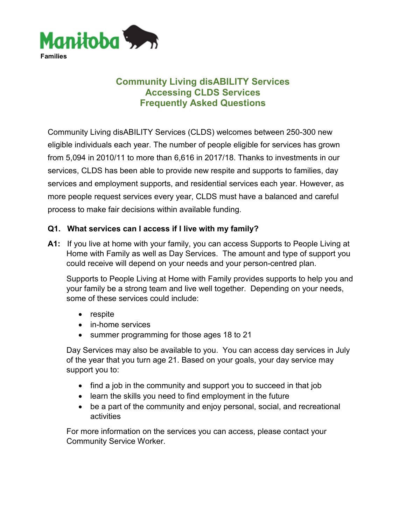

# **Community Living disABILITY Services Accessing CLDS Services Frequently Asked Questions**

Community Living disABILITY Services (CLDS) welcomes between 250-300 new eligible individuals each year. The number of people eligible for services has grown from 5,094 in 2010/11 to more than 6,616 in 2017/18. Thanks to investments in our services, CLDS has been able to provide new respite and supports to families, day services and employment supports, and residential services each year. However, as more people request services every year, CLDS must have a balanced and careful process to make fair decisions within available funding.

# **Q1. What services can I access if I live with my family?**

**A1:** If you live at home with your family, you can access Supports to People Living at Home with Family as well as Day Services. The amount and type of support you could receive will depend on your needs and your person-centred plan.

Supports to People Living at Home with Family provides supports to help you and your family be a strong team and live well together. Depending on your needs, some of these services could include:

- respite
- in-home services
- summer programming for those ages 18 to 21

Day Services may also be available to you. You can access day services in July of the year that you turn age 21. Based on your goals, your day service may support you to:

- find a job in the community and support you to succeed in that job
- learn the skills you need to find employment in the future
- be a part of the community and enjoy personal, social, and recreational activities

For more information on the services you can access, please contact your Community Service Worker.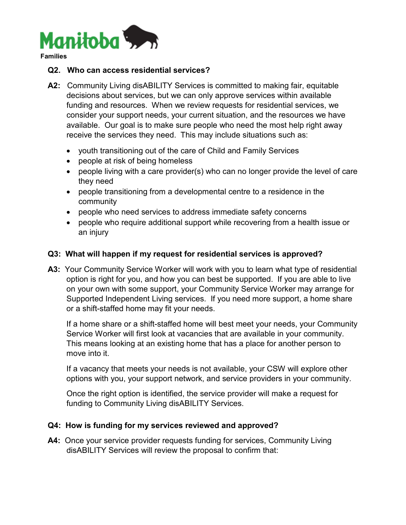

**Families**

#### **Q2. Who can access residential services?**

- **A2:** Community Living disABILITY Services is committed to making fair, equitable decisions about services, but we can only approve services within available funding and resources. When we review requests for residential services, we consider your support needs, your current situation, and the resources we have available. Our goal is to make sure people who need the most help right away receive the services they need. This may include situations such as:
	- youth transitioning out of the care of Child and Family Services
	- people at risk of being homeless
	- people living with a care provider(s) who can no longer provide the level of care they need
	- people transitioning from a developmental centre to a residence in the community
	- people who need services to address immediate safety concerns
	- people who require additional support while recovering from a health issue or an injury

## **Q3: What will happen if my request for residential services is approved?**

**A3:** Your Community Service Worker will work with you to learn what type of residential option is right for you, and how you can best be supported. If you are able to live on your own with some support, your Community Service Worker may arrange for Supported Independent Living services. If you need more support, a home share or a shift-staffed home may fit your needs.

If a home share or a shift-staffed home will best meet your needs, your Community Service Worker will first look at vacancies that are available in your community. This means looking at an existing home that has a place for another person to move into it.

If a vacancy that meets your needs is not available, your CSW will explore other options with you, your support network, and service providers in your community.

Once the right option is identified, the service provider will make a request for funding to Community Living disABILITY Services.

#### **Q4: How is funding for my services reviewed and approved?**

**A4:** Once your service provider requests funding for services, Community Living disABILITY Services will review the proposal to confirm that: